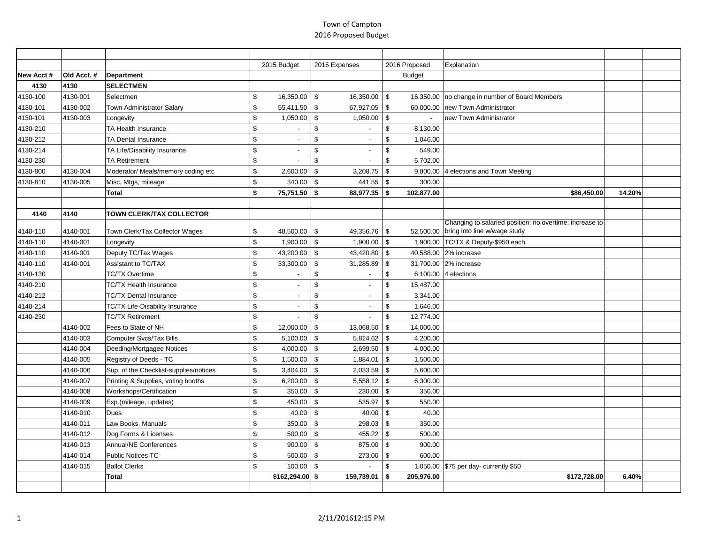|           |             |                                        |                | 2015 Budget              |               | 2015 Expenses            | 2016 Proposed                         | Explanation                                                                             |        |  |
|-----------|-------------|----------------------------------------|----------------|--------------------------|---------------|--------------------------|---------------------------------------|-----------------------------------------------------------------------------------------|--------|--|
| New Acct# | Old Acct. # | Department                             |                |                          |               |                          | <b>Budget</b>                         |                                                                                         |        |  |
| 4130      | 4130        | <b>SELECTMEN</b>                       |                |                          |               |                          |                                       |                                                                                         |        |  |
| 4130-100  | 4130-001    | Selectmen                              | \$             | 16,350.00                | \$            | 16,350.00                | <b>\$</b><br>16,350.00                | no change in number of Board Members                                                    |        |  |
| 4130-101  | 4130-002    | Town Administrator Salary              | \$             | 55,411.50                | \$            | 67,927.05                | $\sqrt{3}$<br>60,000.00               | new Town Administrator                                                                  |        |  |
| 4130-101  | 4130-003    | Longevity                              | \$             | 1,050.00                 | \$            | 1,050.00                 | $\sqrt{3}$                            | new Town Administrator                                                                  |        |  |
| 4130-210  |             | TA Health Insurance                    | \$             |                          | \$            |                          | \$<br>8,130.00                        |                                                                                         |        |  |
| 4130-212  |             | <b>TA Dental Insurance</b>             | \$             | $\blacksquare$           | \$            | $\overline{\phantom{a}}$ | \$<br>1,046.00                        |                                                                                         |        |  |
| 4130-214  |             | TA Life/Disability Insurance           | \$             | $\overline{\phantom{a}}$ | \$            | $\sim$                   | 549.00<br>\$                          |                                                                                         |        |  |
| 4130-230  |             | <b>TA Retirement</b>                   | \$             |                          | \$            |                          | \$<br>6,702.00                        |                                                                                         |        |  |
| 4130-800  | 4130-004    | Moderator/ Meals/memory coding etc     | \$             | 2,600.00                 | \$            | 3,208.75                 | $\boldsymbol{\mathsf{s}}$<br>9,800.00 | 4 elections and Town Meeting                                                            |        |  |
| 4130-810  | 4130-005    | Misc, Mtgs, mileage                    | \$             | 340.00                   | \$            | 441.55                   | $\sqrt{3}$<br>300.00                  |                                                                                         |        |  |
|           |             | <b>Total</b>                           | \$             | 75,751.50                | -\$           | 88,977.35                | 102,877.00<br>-\$                     | \$86,450.00                                                                             | 14.20% |  |
|           |             |                                        |                |                          |               |                          |                                       |                                                                                         |        |  |
| 4140      | 4140        | <b>TOWN CLERK/TAX COLLECTOR</b>        |                |                          |               |                          |                                       |                                                                                         |        |  |
| 4140-110  | 4140-001    | Town Clerk/Tax Collector Wages         | \$             | 48,500.00                | $\sqrt{3}$    | 49,356.76                | <b>S</b><br>52.500.00                 | Changing to salaried position; no overtime; increase to<br>bring into line w/wage study |        |  |
| 4140-110  | 4140-001    | Longevity                              | \$             | 1,900.00                 | \$            | 1,900.00                 | l \$                                  | 1,900.00 TC/TX & Deputy-\$950 each                                                      |        |  |
| 4140-110  | 4140-001    | Deputy TC/Tax Wages                    | \$             | 43,200.00                | \$            | 43,420.80                | $\vert$ \$<br>40,588.00               | 2% increase                                                                             |        |  |
| 4140-110  | 4140-001    | Assistant to TC/TAX                    | \$             | 33,300.00                | <sup>\$</sup> | 31,285.89                | \$<br>31,700.00                       | 2% increase                                                                             |        |  |
| 4140-130  |             | <b>TC/TX Overtime</b>                  | \$             | $\overline{\phantom{a}}$ | \$            |                          | \$                                    | 6,100.00 $ 4$ elections                                                                 |        |  |
| 4140-210  |             | <b>TC/TX Health Insurance</b>          | $\mathfrak{s}$ | $\blacksquare$           | \$            |                          | \$<br>15,487.00                       |                                                                                         |        |  |
| 4140-212  |             | <b>TC/TX Dental Insurance</b>          | \$             | $\blacksquare$           | \$            | $\overline{\phantom{a}}$ | \$<br>3,341.00                        |                                                                                         |        |  |
| 4140-214  |             | TC/TX Life-Disability Insurance        | \$             | $\overline{\phantom{a}}$ | \$            |                          | \$<br>1,646.00                        |                                                                                         |        |  |
| 4140-230  |             | <b>TC/TX Retirement</b>                | \$             |                          | \$            |                          | \$<br>12,774.00                       |                                                                                         |        |  |
|           | 4140-002    | Fees to State of NH                    | \$             | 12,000.00                | \$            | 13,068.50                | \$<br>14,000.00                       |                                                                                         |        |  |
|           | 4140-003    | <b>Computer Svcs/Tax Bills</b>         | \$             | 5,100.00                 | \$            | 5,824.62                 | 4,200.00<br>\$                        |                                                                                         |        |  |
|           | 4140-004    | Deeding/Mortgagee Notices              | \$             | 4,000.00                 | \$            | 2,699.50                 | <b>S</b><br>4,000.00                  |                                                                                         |        |  |
|           | 4140-005    | Registry of Deeds - TC                 | \$             | 1,500.00                 | \$            | 1,884.01                 | 1,500.00<br>\$                        |                                                                                         |        |  |
|           | 4140-006    | Sup. of the Checklist-supplies/notices | \$             | 3,404.00                 | \$            | 2,033.59                 | $\sqrt{3}$<br>5,600.00                |                                                                                         |        |  |
|           | 4140-007    | Printing & Supplies, voting booths     | \$             | 6,200.00                 | \$            | 5,558.12                 | \$<br>6,300.00                        |                                                                                         |        |  |
|           | 4140-008    | Workshops/Certification                | \$             | 350.00                   | \$            | 230.00                   | $\sqrt{3}$<br>350.00                  |                                                                                         |        |  |
|           | 4140-009    | Exp.(mileage, updates)                 | \$             | 450.00                   | \$            | 535.97                   | \$<br>550.00                          |                                                                                         |        |  |
|           | 4140-010    | Dues                                   | \$             | 40.00                    | \$            | 40.00                    | $\boldsymbol{\mathsf{s}}$<br>40.00    |                                                                                         |        |  |
|           | 4140-011    | Law Books, Manuals                     | \$             | 350.00                   | \$            | 298.03                   | <b>\$</b><br>350.00                   |                                                                                         |        |  |
|           | 4140-012    | Dog Forms & Licenses                   | \$             | 500.00                   | \$            | 455.22                   | 500.00<br>\$                          |                                                                                         |        |  |
|           | 4140-013    | Annual/NE Conferences                  | \$             | 900.00                   | \$            | 875.00                   | $\mathbf{s}$<br>900.00                |                                                                                         |        |  |
|           | 4140-014    | <b>Public Notices TC</b>               | \$             | 500.00                   | \$            | 273.00                   | 600.00<br>\$                          |                                                                                         |        |  |
|           | 4140-015    | <b>Ballot Clerks</b>                   | \$             | 100.00                   | \$            |                          | \$<br>1,050.00                        | \$75 per day- currently \$50                                                            |        |  |
|           |             | Total                                  |                | $$162,294.00$ \$         |               | 159,739.01               | \$<br>205,976.00                      | \$172,728.00                                                                            | 6.40%  |  |
|           |             |                                        |                |                          |               |                          |                                       |                                                                                         |        |  |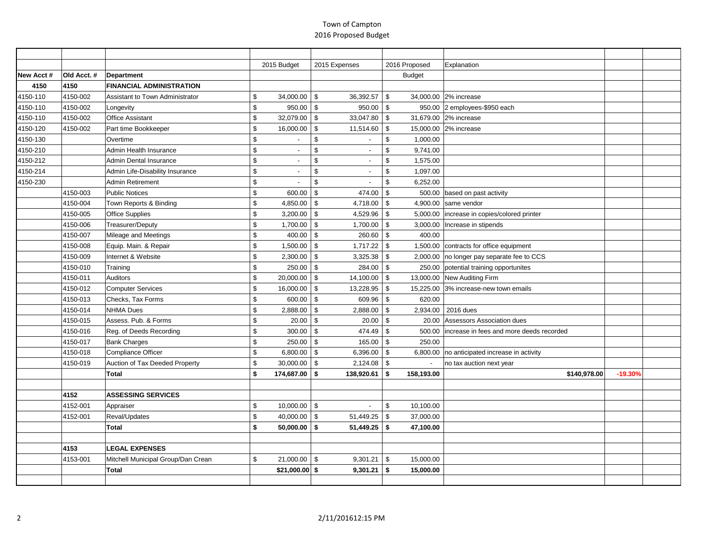|           |            |                                    | 2015 Budget          | 2015 Expenses                    | 2016 Proposed          | Explanation                              |           |  |
|-----------|------------|------------------------------------|----------------------|----------------------------------|------------------------|------------------------------------------|-----------|--|
| New Acct# | Old Acct.# | Department                         |                      |                                  | <b>Budget</b>          |                                          |           |  |
| 4150      | 4150       | <b>FINANCIAL ADMINISTRATION</b>    |                      |                                  |                        |                                          |           |  |
| 4150-110  | 4150-002   | Assistant to Town Administrator    | \$<br>34,000.00      | \$<br>36,392.57                  | -\$                    | 34.000.00 2% increase                    |           |  |
| 4150-110  | 4150-002   | Longevity                          | \$<br>950.00         | \$<br>950.00                     | \$<br>950.00           | 2 employees-\$950 each                   |           |  |
| 4150-110  | 4150-002   | Office Assistant                   | \$<br>32,079.00      | - \$<br>33.047.80                | <b>S</b>               | 31,679.00 2% increase                    |           |  |
| 4150-120  | 4150-002   | Part time Bookkeeper               | \$<br>16,000.00      | \$<br>11,514.60                  | \$                     | 15,000.00 2% increase                    |           |  |
| 4150-130  |            | Overtime                           | \$                   | $\mathfrak{L}$<br>$\overline{a}$ | \$<br>1,000.00         |                                          |           |  |
| 4150-210  |            | Admin Health Insurance             | \$                   | \$<br>$\overline{\phantom{a}}$   | \$<br>9,741.00         |                                          |           |  |
| 4150-212  |            | Admin Dental Insurance             | \$                   | \$                               | 1,575.00<br>\$         |                                          |           |  |
| 4150-214  |            | Admin Life-Disability Insurance    | \$                   | \$<br>$\sim$                     | \$<br>1,097.00         |                                          |           |  |
| 4150-230  |            | Admin Retirement                   | \$                   | \$                               | \$<br>6,252.00         |                                          |           |  |
|           | 4150-003   | <b>Public Notices</b>              | \$<br>600.00         | \$<br>474.00                     | \$<br>500.00           | based on past activity                   |           |  |
|           | 4150-004   | Town Reports & Binding             | \$<br>4,850.00       | $4,718.00$ \\$<br>\$             | 4,900.00               | same vendor                              |           |  |
|           | 4150-005   | <b>Office Supplies</b>             | \$<br>3,200.00       | 4,529.96<br>\$                   | \$<br>5,000.00         | increase in copies/colored printer       |           |  |
|           | 4150-006   | Treasurer/Deputy                   | \$<br>1,700.00       | \$<br>1,700.00                   | \$<br>3,000.00         | Increase in stipends                     |           |  |
|           | 4150-007   | Mileage and Meetings               | \$<br>400.00         | - \$<br>260.60 \$                | 400.00                 |                                          |           |  |
|           | 4150-008   | Equip. Main. & Repair              | \$<br>1,500.00       | \$                               |                        | 1,500.00 contracts for office equipment  |           |  |
|           | 4150-009   | Internet & Website                 | \$<br>2,300.00       | \$<br>3,325.38                   | $\sqrt{3}$<br>2,000.00 | no longer pay separate fee to CCS        |           |  |
|           | 4150-010   | Training                           | \$<br>250.00         | \$<br>284.00                     | $\vert$ \$<br>250.00   | potential training opportunites          |           |  |
|           | 4150-011   | Auditors                           | \$<br>20,000.00      | \$<br>14,100.00                  | \$<br>13,000.00        | New Auditing Firm                        |           |  |
|           | 4150-012   | <b>Computer Services</b>           | \$<br>16,000.00      | - \$<br>13,228.95                | <b>S</b><br>15,225.00  | 3% increase-new town emails              |           |  |
|           | 4150-013   | Checks, Tax Forms                  | \$<br>600.00         | \$<br>609.96                     | \$<br>620.00           |                                          |           |  |
|           | 4150-014   | <b>NHMA Dues</b>                   | \$<br>2,888.00       | \$<br>2,888.00                   | \$<br>2,934.00         | 2016 dues                                |           |  |
|           | 4150-015   | Assess, Pub. & Forms               | \$<br>20.00          | \$<br>20.00                      | \$<br>20.00            | Assessors Association dues               |           |  |
|           | 4150-016   | Reg. of Deeds Recording            | \$<br>300.00         | 474.49<br>\$                     | \$<br>500.00           | increase in fees and more deeds recorded |           |  |
|           | 4150-017   | <b>Bank Charges</b>                | \$<br>250.00         | \$<br>165.00                     | <b>S</b><br>250.00     |                                          |           |  |
|           | 4150-018   | Compliance Officer                 | \$<br>6,800.00       | - \$<br>$6,396.00$ \$            | 6,800.00               | no anticipated increase in activity      |           |  |
|           | 4150-019   | Auction of Tax Deeded Property     | \$<br>30,000.00      | \$                               |                        | no tax auction next year                 |           |  |
|           |            | <b>Total</b>                       | \$<br>174,687.00     | 138,920.61<br>- \$               | 158.193.00<br>∣\$.     | \$140,978.00                             | $-19.30%$ |  |
|           |            |                                    |                      |                                  |                        |                                          |           |  |
|           | 4152       | <b>ASSESSING SERVICES</b>          |                      |                                  |                        |                                          |           |  |
|           | 4152-001   | Appraiser                          | \$<br>$10,000.00$ \$ |                                  | \$<br>10,100.00        |                                          |           |  |
|           | 4152-001   | Reval/Updates                      | \$<br>40,000.00      | 51,449.25<br>\$                  | 37,000.00<br>\$        |                                          |           |  |
|           |            | <b>Total</b>                       | \$<br>$50,000.00$ \$ | $51,449.25$ \$                   | 47,100.00              |                                          |           |  |
|           |            |                                    |                      |                                  |                        |                                          |           |  |
|           | 4153       | <b>LEGAL EXPENSES</b>              |                      |                                  |                        |                                          |           |  |
|           | 4153-001   | Mitchell Municipal Group/Dan Crean | \$<br>$21,000.00$ \$ | 9,301.21                         | <b>\$</b><br>15,000.00 |                                          |           |  |
|           |            | Total                              | $$21,000.00$ \$      | 9,301.21                         | l \$<br>15,000.00      |                                          |           |  |
|           |            |                                    |                      |                                  |                        |                                          |           |  |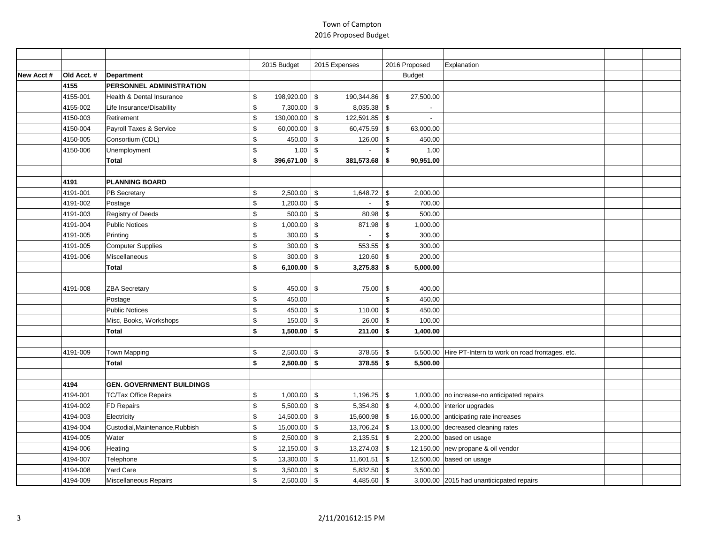|           |            |                                  | 2015 Budget      | 2015 Expenses                   | 2016 Proposed           | Explanation                                             |  |
|-----------|------------|----------------------------------|------------------|---------------------------------|-------------------------|---------------------------------------------------------|--|
| New Acct# | Old Acct.# | Department                       |                  |                                 | <b>Budget</b>           |                                                         |  |
|           | 4155       | PERSONNEL ADMINISTRATION         |                  |                                 |                         |                                                         |  |
|           | 4155-001   | Health & Dental Insurance        | \$<br>198,920.00 | \$<br>190,344.86                | <b>S</b><br>27,500.00   |                                                         |  |
|           | 4155-002   | Life Insurance/Disability        | \$<br>7,300.00   | 8,035.38<br>\$                  | \$                      |                                                         |  |
|           | 4150-003   | Retirement                       | \$<br>130,000.00 | 122,591.85 \$<br>\$             | $\blacksquare$          |                                                         |  |
|           | 4150-004   | Payroll Taxes & Service          | \$<br>60,000.00  | \$<br>60,475.59                 | <b>S</b><br>63,000.00   |                                                         |  |
|           | 4150-005   | Consortium (CDL)                 | \$<br>450.00     | 126.00<br>\$                    | \$<br>450.00            |                                                         |  |
|           | 4150-006   | Unemployment                     | \$<br>1.00       | \$                              | \$<br>1.00              |                                                         |  |
|           |            | <b>Total</b>                     | \$<br>396,671.00 | 381,573.68<br>-\$               | 90,951.00<br>-\$        |                                                         |  |
|           |            |                                  |                  |                                 |                         |                                                         |  |
|           | 4191       | <b>PLANNING BOARD</b>            |                  |                                 |                         |                                                         |  |
|           | 4191-001   | <b>PB Secretary</b>              | \$<br>2,500.00   | \$<br>1,648.72                  | $\sqrt{3}$<br>2,000.00  |                                                         |  |
|           | 4191-002   | Postage                          | \$<br>1,200.00   | $\mathfrak s$<br>$\overline{a}$ | $\mathfrak s$<br>700.00 |                                                         |  |
|           | 4191-003   | Registry of Deeds                | \$<br>500.00     | $\mathfrak s$<br>80.98          | \$<br>500.00            |                                                         |  |
|           | 4191-004   | <b>Public Notices</b>            | \$<br>1,000.00   | \$<br>871.98                    | \$<br>1,000.00          |                                                         |  |
|           | 4191-005   | Printing                         | \$<br>300.00     | \$                              | \$<br>300.00            |                                                         |  |
|           | 4191-005   | <b>Computer Supplies</b>         | \$<br>300.00     | 553.55<br>\$                    | 300.00<br>\$            |                                                         |  |
|           | 4191-006   | Miscellaneous                    | \$<br>300.00     | $\mathfrak s$<br>120.60         | $\sqrt{3}$<br>200.00    |                                                         |  |
|           |            | <b>Total</b>                     | \$<br>6,100.00   | 3,275.83<br>-\$                 | 5,000.00<br><b>S</b>    |                                                         |  |
|           |            |                                  |                  |                                 |                         |                                                         |  |
|           | 4191-008   | <b>ZBA Secretary</b>             | \$<br>450.00     | $\mathfrak s$<br>75.00          | <b>S</b><br>400.00      |                                                         |  |
|           |            | Postage                          | \$<br>450.00     |                                 | \$<br>450.00            |                                                         |  |
|           |            | <b>Public Notices</b>            | \$<br>450.00     | 110.00<br>\$                    | \$<br>450.00            |                                                         |  |
|           |            | Misc, Books, Workshops           | \$<br>150.00     | \$<br>26.00                     | $\sqrt{3}$<br>100.00    |                                                         |  |
|           |            | <b>Total</b>                     | \$<br>1,500.00   | 211.00<br>-\$                   | 1,400.00<br>-\$         |                                                         |  |
|           |            |                                  |                  |                                 |                         |                                                         |  |
|           | 4191-009   | Town Mapping                     | \$<br>2,500.00   | \$<br>378.55                    | <b>S</b>                | 5,500.00 Hire PT-Intern to work on road frontages, etc. |  |
|           |            | Total                            | \$<br>2,500.00   | \$<br>378.55                    | 5,500.00<br>5           |                                                         |  |
|           |            |                                  |                  |                                 |                         |                                                         |  |
|           | 4194       | <b>GEN. GOVERNMENT BUILDINGS</b> |                  |                                 |                         |                                                         |  |
|           | 4194-001   | TC/Tax Office Repairs            | \$<br>1,000.00   | 1,196.25<br>\$                  | <b>\$</b>               | 1,000.00 no increase-no anticipated repairs             |  |
|           | 4194-002   | FD Repairs                       | \$<br>5,500.00   | <b>S</b><br>$5,354.80$ \$       |                         | 4,000.00 interior upgrades                              |  |
|           | 4194-003   | Electricity                      | \$<br>14,500.00  | \$<br>15,600.98                 | $\sqrt{3}$              | 16,000.00 anticipating rate increases                   |  |
|           | 4194-004   | Custodial, Maintenance, Rubbish  | \$<br>15,000.00  | \$<br>13,706.24                 | $\sqrt{3}$              | 13,000.00 decreased cleaning rates                      |  |
|           | 4194-005   | Water                            | \$<br>2,500.00   | \$<br>2,135.51                  | $\sqrt{3}$              | 2,200.00 $\vert$ based on usage                         |  |
|           | 4194-006   | Heating                          | \$<br>12,150.00  | $\sqrt[6]{2}$<br>13,274.03      | -\$                     | 12,150.00 new propane & oil vendor                      |  |
|           | 4194-007   | Telephone                        | \$<br>13,300.00  | \$<br>11,601.51                 | $\sqrt{3}$              | 12,500.00 based on usage                                |  |
|           | 4194-008   | Yard Care                        | \$<br>3,500.00   | $\sqrt{3}$<br>$5,832.50$ \$     | 3,500.00                |                                                         |  |
|           | 4194-009   | Miscellaneous Repairs            | \$<br>2,500.00   | \$<br>4,485.60                  | $\sqrt{3}$              | 3,000.00 2015 had unanticicpated repairs                |  |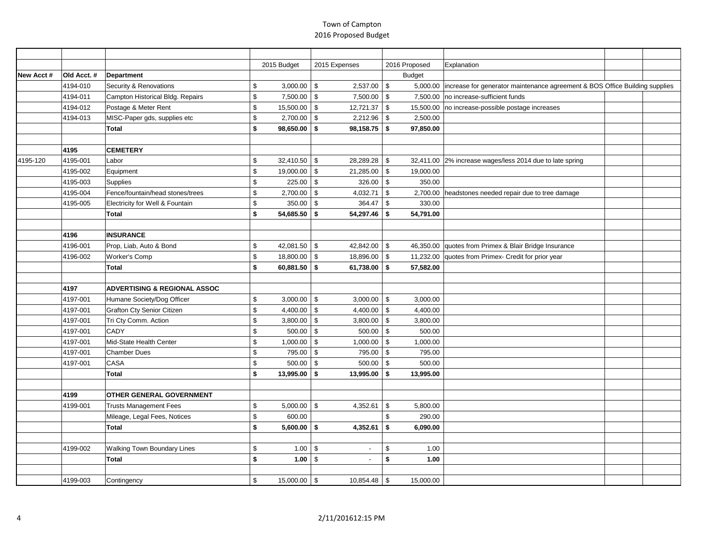|           |            |                                         | 2015 Budget          | 2015 Expenses                              | 2016 Proposed          | Explanation                                                                          |  |
|-----------|------------|-----------------------------------------|----------------------|--------------------------------------------|------------------------|--------------------------------------------------------------------------------------|--|
| New Acct# | Old Acct.# | Department                              |                      |                                            | <b>Budget</b>          |                                                                                      |  |
|           | 4194-010   | Security & Renovations                  | \$<br>3,000.00       | $$\mathbb{S}$$<br>2,537.00                 | $\sqrt{3}$             | 5,000.00 increase for generator maintenance agreement & BOS Office Building supplies |  |
|           | 4194-011   | Campton Historical Bldg. Repairs        | \$<br>7,500.00       | \$<br>$7,500.00$ \$                        |                        | 7,500.00 no increase-sufficient funds                                                |  |
|           | 4194-012   | Postage & Meter Rent                    | \$<br>15,500.00      | \$<br>12,721.37                            | \$                     | 15,500.00 no increase-possible postage increases                                     |  |
|           | 4194-013   | MISC-Paper gds, supplies etc            | \$<br>2,700.00       | \$<br>2,212.96                             | $\sqrt{3}$<br>2,500.00 |                                                                                      |  |
|           |            | Total                                   | \$<br>98,650.00      | \$<br>98,158.75                            | <b>S</b><br>97,850.00  |                                                                                      |  |
|           |            |                                         |                      |                                            |                        |                                                                                      |  |
|           | 4195       | <b>CEMETERY</b>                         |                      |                                            |                        |                                                                                      |  |
| 4195-120  | 4195-001   | Labor                                   | \$<br>32,410.50      | <b>S</b><br>28,289.28                      | $\sqrt{3}$             | 32,411.00 2% increase wages/less 2014 due to late spring                             |  |
|           | 4195-002   | Equipment                               | \$<br>19,000.00      | \$<br>21,285.00                            | \$<br>19,000.00        |                                                                                      |  |
|           | 4195-003   | Supplies                                | \$<br>225.00         | \$<br>$326.00$ \$                          | 350.00                 |                                                                                      |  |
|           | 4195-004   | Fence/fountain/head stones/trees        | \$<br>2,700.00       | 4,032.71<br>\$                             | \$                     | 2,700.00 headstones needed repair due to tree damage                                 |  |
|           | 4195-005   | Electricity for Well & Fountain         | \$<br>350.00         | $\mathfrak s$<br>364.47                    | $\sqrt{3}$<br>330.00   |                                                                                      |  |
|           |            | <b>Total</b>                            | \$<br>54,685.50      | 54,297.46<br>\$                            | \$<br>54,791.00        |                                                                                      |  |
|           |            |                                         |                      |                                            |                        |                                                                                      |  |
|           | 4196       | <b>INSURANCE</b>                        |                      |                                            |                        |                                                                                      |  |
|           | 4196-001   | Prop, Liab, Auto & Bond                 | \$<br>42,081.50      | \$<br>42,842.00                            | $\sqrt{3}$             | 46,350.00 quotes from Primex & Blair Bridge Insurance                                |  |
|           | 4196-002   | <b>Worker's Comp</b>                    | \$<br>18,800.00      | \$<br>18,896.00                            | \$<br>11,232.00        | quotes from Primex- Credit for prior year                                            |  |
|           |            | <b>Total</b>                            | \$<br>$60,881.50$ \$ | 61,738.00 $\frac{1}{9}$                    | 57,582.00              |                                                                                      |  |
|           |            |                                         |                      |                                            |                        |                                                                                      |  |
|           | 4197       | <b>ADVERTISING &amp; REGIONAL ASSOC</b> |                      |                                            |                        |                                                                                      |  |
|           | 4197-001   | Humane Society/Dog Officer              | \$<br>3,000.00       | <b>S</b><br>$3,000.00$ \$                  | 3,000.00               |                                                                                      |  |
|           | 4197-001   | <b>Grafton Cty Senior Citizen</b>       | \$<br>4,400.00       | 4,400.00<br>\$                             | $\sqrt{3}$<br>4,400.00 |                                                                                      |  |
|           | 4197-001   | Tri Cty Comm. Action                    | \$<br>3,800.00       | $\boldsymbol{\mathsf{S}}$<br>$3,800.00$ \$ | 3,800.00               |                                                                                      |  |
|           | 4197-001   | <b>CADY</b>                             | \$<br>500.00         | $\mathfrak s$<br>500.00                    | $\sqrt{3}$<br>500.00   |                                                                                      |  |
|           | 4197-001   | Mid-State Health Center                 | \$<br>1,000.00       | 1,000.00<br>\$                             | \$<br>1,000.00         |                                                                                      |  |
|           | 4197-001   | <b>Chamber Dues</b>                     | \$<br>795.00         | \$<br>795.00 \$                            | 795.00                 |                                                                                      |  |
|           | 4197-001   | CASA                                    | \$<br>500.00         | 500.00<br>\$                               | 500.00<br>\$           |                                                                                      |  |
|           |            | <b>Total</b>                            | \$<br>13,995.00      | \$<br>13,995.00                            | <b>S</b><br>13,995.00  |                                                                                      |  |
|           |            |                                         |                      |                                            |                        |                                                                                      |  |
|           | 4199       | <b>OTHER GENERAL GOVERNMENT</b>         |                      |                                            |                        |                                                                                      |  |
|           | 4199-001   | <b>Trusts Management Fees</b>           | \$<br>5,000.00       | \$<br>4,352.61                             | $\sqrt{3}$<br>5,800.00 |                                                                                      |  |
|           |            | Mileage, Legal Fees, Notices            | \$<br>600.00         |                                            | \$<br>290.00           |                                                                                      |  |
|           |            | <b>Total</b>                            | \$<br>5,600.00       | 4,352.61<br>\$                             | \$<br>6,090.00         |                                                                                      |  |
|           |            |                                         |                      |                                            |                        |                                                                                      |  |
|           | 4199-002   | <b>Walking Town Boundary Lines</b>      | \$<br>1.00           | \$                                         | \$<br>1.00             |                                                                                      |  |
|           |            | Total                                   | \$<br>1.00           | \$                                         | \$<br>1.00             |                                                                                      |  |
|           |            |                                         |                      |                                            |                        |                                                                                      |  |
|           | 4199-003   | Contingency                             | \$<br>15,000.00      | $\boldsymbol{\mathsf{S}}$<br>10,854.48     | <b>\$</b><br>15,000.00 |                                                                                      |  |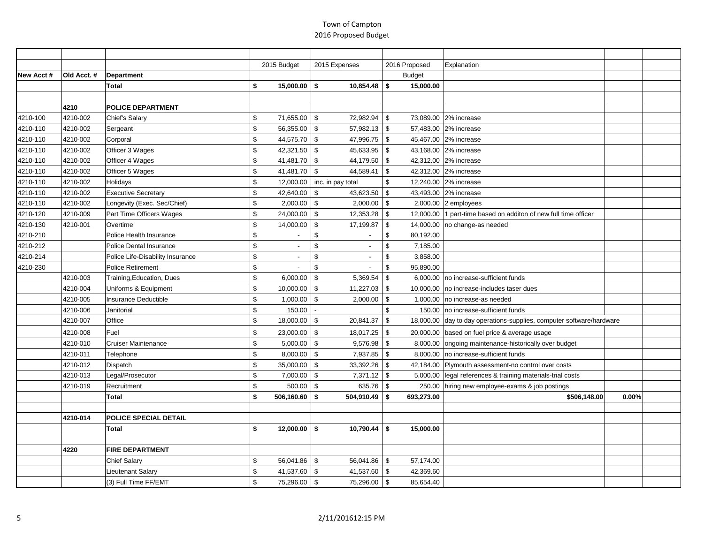|           |             |                                  |                         | 2015 Budget                   | 2015 Expenses             |                 |               | 2016 Proposed | Explanation                                                          |       |  |
|-----------|-------------|----------------------------------|-------------------------|-------------------------------|---------------------------|-----------------|---------------|---------------|----------------------------------------------------------------------|-------|--|
| New Acct# | Old Acct. # | Department                       |                         |                               |                           |                 |               | <b>Budget</b> |                                                                      |       |  |
|           |             | <b>Total</b>                     | \$                      | $15,000.00$ \$                |                           | $10,854.48$ \$  |               | 15,000.00     |                                                                      |       |  |
|           |             |                                  |                         |                               |                           |                 |               |               |                                                                      |       |  |
|           | 4210        | <b>POLICE DEPARTMENT</b>         |                         |                               |                           |                 |               |               |                                                                      |       |  |
| 4210-100  | 4210-002    | Chief's Salary                   | \$                      | 71,655.00                     | \$                        | 72,982.94       | \$            |               | 73,089.00 2% increase                                                |       |  |
| 4210-110  | 4210-002    | Sergeant                         | \$                      | 56,355.00                     | \$                        | 57,982.13       | \$            |               | 57,483.00 2% increase                                                |       |  |
| 4210-110  | 4210-002    | Corporal                         | $\$$                    | 44,575.70 \$                  |                           | 47,996.75 \$    |               |               | 45,467.00 2% increase                                                |       |  |
| 4210-110  | 4210-002    | Officer 3 Wages                  | $\$$                    | 42,321.50 \$                  |                           | 45,633.95       | \$            |               | 43,168.00 2% increase                                                |       |  |
| 4210-110  | 4210-002    | Officer 4 Wages                  | $\$$                    | 41,481.70 \$                  |                           | 44,179.50 \$    |               |               | 42,312.00 2% increase                                                |       |  |
| 4210-110  | 4210-002    | Officer 5 Wages                  | $\$$                    | $41,481.70$ \$                |                           | 44,589.41       | \$            |               | 42,312.00 2% increase                                                |       |  |
| 4210-110  | 4210-002    | Holidays                         | $\$$                    | 12,000.00   inc. in pay total |                           |                 | \$            |               | 12,240.00 2% increase                                                |       |  |
| 4210-110  | 4210-002    | <b>Executive Secretary</b>       | $\mathfrak s$           | 42,640.00                     | \$                        | 43,623.50       | \$            |               | 43,493.00 2% increase                                                |       |  |
| 4210-110  | 4210-002    | Longevity (Exec. Sec/Chief)      | $\mathfrak s$           | $2,000.00$ \$                 |                           | $2,000.00$ \$   |               |               | 2,000.00 $ 2$ employees                                              |       |  |
| 4210-120  | 4210-009    | Part Time Officers Wages         | \$                      | 24,000.00                     | $\mathfrak s$             | 12,353.28       | \$            |               | 12,000.00  1 part-time based on additon of new full time officer     |       |  |
| 4210-130  | 4210-001    | Overtime                         | \$                      | 14,000.00                     | \$                        | 17,199.87       | \$            | 14,000.00     | no change-as needed                                                  |       |  |
| 4210-210  |             | Police Health Insurance          | \$                      | $\blacksquare$                | \$                        | $\blacksquare$  | \$            | 80,192.00     |                                                                      |       |  |
| 4210-212  |             | Police Dental Insurance          | \$                      | $\overline{a}$                | $\mathfrak{L}$            | $\overline{a}$  | \$            | 7,185.00      |                                                                      |       |  |
| 4210-214  |             | Police Life-Disability Insurance | $\mathfrak s$           | $\overline{\phantom{a}}$      | \$                        | $\sim$          | \$            | 3,858.00      |                                                                      |       |  |
| 4210-230  |             | <b>Police Retirement</b>         | \$                      |                               | \$                        |                 | \$            | 95,890.00     |                                                                      |       |  |
|           | 4210-003    | Training, Education, Dues        | \$                      | 6,000.00                      | $\sqrt[6]{2}$             | 5,369.54        | \$            | 6,000.00      | no increase-sufficient funds                                         |       |  |
|           | 4210-004    | Uniforms & Equipment             | $\$$                    | 10,000.00                     | $\sqrt[6]{2}$             | 11,227.03       | \$            |               | 10,000.00 no increase-includes taser dues                            |       |  |
|           | 4210-005    | Insurance Deductible             | $\mathfrak s$           | 1,000.00                      | $\boldsymbol{\mathsf{S}}$ | 2,000.00        | $\sqrt[6]{2}$ | 1,000.00      | no increase-as needed                                                |       |  |
|           | 4210-006    | Janitorial                       | \$                      | 150.00                        |                           |                 | \$            | 150.00        | no increase-sufficient funds                                         |       |  |
|           | 4210-007    | Office                           | $\,$                    | 18,000.00                     | \$                        | 20,841.37       | \$            |               | 18,000.00 day to day operations-supplies, computer software/hardware |       |  |
|           | 4210-008    | Fuel                             | $\$$                    | 23,000.00                     | \$                        | 18,017.25       | \$            | 20,000.00     | based on fuel price & average usage                                  |       |  |
|           | 4210-010    | <b>Cruiser Maintenance</b>       | $\$$                    | $5,000.00$ \\$                |                           | 9,576.98        | \$            | 8,000.00      | ongoing maintenance-historically over budget                         |       |  |
|           | 4210-011    | Telephone                        | \$                      | $8,000.00$ \$                 |                           | 7,937.85        | \$            | 8,000.00      | no increase-sufficient funds                                         |       |  |
|           | 4210-012    | Dispatch                         | \$                      | 35,000.00                     | $\mathfrak s$             | 33,392.26       | \$            |               | 42,184.00 Plymouth assessment-no control over costs                  |       |  |
|           | 4210-013    | Legal/Prosecutor                 | $\sqrt[6]{\frac{1}{2}}$ | $7,000.00$ \$                 |                           | $7,371.12$ \$   |               | 5,000.00      | legal references & training materials-trial costs                    |       |  |
|           | 4210-019    | Recruitment                      | $\mathfrak s$           | 500.00                        | l \$                      | 635.76 \$       |               | 250.00        | hiring new employee-exams & job postings                             |       |  |
|           |             | <b>Total</b>                     | \$                      | $506.160.60$ \$               |                           | $504,910.49$ \$ |               | 693,273.00    | \$506,148,00                                                         | 0.00% |  |
|           |             |                                  |                         |                               |                           |                 |               |               |                                                                      |       |  |
|           | 4210-014    | POLICE SPECIAL DETAIL            |                         |                               |                           |                 |               |               |                                                                      |       |  |
|           |             | Total                            | \$                      | $12,000.00$ \$                |                           | 10,790.44       | \$            | 15,000.00     |                                                                      |       |  |
|           |             |                                  |                         |                               |                           |                 |               |               |                                                                      |       |  |
|           | 4220        | <b>FIRE DEPARTMENT</b>           |                         |                               |                           |                 |               |               |                                                                      |       |  |
|           |             | <b>Chief Salary</b>              | \$                      | 56,041.86 \$                  |                           | 56,041.86       | l \$          | 57,174.00     |                                                                      |       |  |
|           |             | Lieutenant Salary                | $\$$                    | 41,537.60 \$                  |                           | 41,537.60       | $\mathfrak s$ | 42,369.60     |                                                                      |       |  |
|           |             | (3) Full Time FF/EMT             | \$                      | 75,296.00 \$                  |                           | 75,296.00 \$    |               | 85,654.40     |                                                                      |       |  |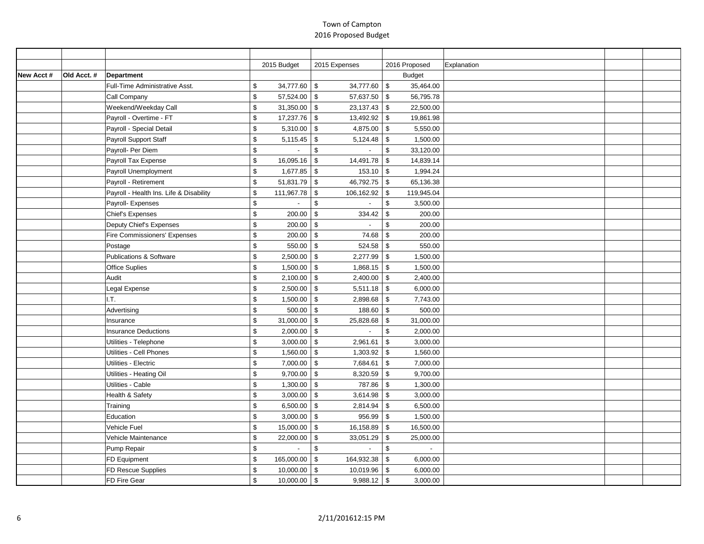|            |            |                                         | 2015 Budget                  |                         | 2015 Expenses          | 2016 Proposed               | Explanation |  |
|------------|------------|-----------------------------------------|------------------------------|-------------------------|------------------------|-----------------------------|-------------|--|
| New Acct # | Old Acct.# | <b>Department</b>                       |                              |                         |                        | <b>Budget</b>               |             |  |
|            |            | Full-Time Administrative Asst.          | \$<br>34,777.60 $\vert \$$   |                         | 34,777.60              | $\sqrt[3]{3}$<br>35,464.00  |             |  |
|            |            | Call Company                            | \$<br>57,524.00 \$           |                         | $57,637.50$ \$         | 56,795.78                   |             |  |
|            |            | Weekend/Weekday Call                    | \$<br>$31,350.00$ \$         |                         | 23,137.43              | $\sqrt{3}$<br>22,500.00     |             |  |
|            |            | Payroll - Overtime - FT                 | \$<br>17,237.76 \$           |                         | 13,492.92              | $\sqrt{3}$<br>19,861.98     |             |  |
|            |            | Payroll - Special Detail                | \$<br>$5,310.00$ \$          |                         | 4,875.00 $\frac{1}{3}$ | 5,550.00                    |             |  |
|            |            | Payroll Support Staff                   | \$<br>$5,115.45$ \$          |                         | 5,124.48               | \$<br>1,500.00              |             |  |
|            |            | Payroll- Per Diem                       | \$<br>$\blacksquare$         | $\mathfrak{S}$          | $\sim$                 | $\mathfrak s$<br>33,120.00  |             |  |
|            |            | Payroll Tax Expense                     | \$<br>16,095.16              | $\sqrt{3}$              | 14,491.78              | $\mathfrak{S}$<br>14,839.14 |             |  |
|            |            | Payroll Unemployment                    | \$<br>$1,677.85$ \$          |                         | 153.10                 | <b>S</b><br>1,994.24        |             |  |
|            |            | Payroll - Retirement                    | \$<br>$51,831.79$ \$         |                         | 46,792.75              | 65,136.38<br>$\sqrt{3}$     |             |  |
|            |            | Payroll - Health Ins. Life & Disability | \$<br>111,967.78 \$          |                         | 106,162.92             | 119,945.04<br>$\sqrt{3}$    |             |  |
|            |            | Payroll- Expenses                       | \$<br>$\blacksquare$         | $\sqrt[6]{\frac{1}{2}}$ | $\sim$                 | $$\mathbb{S}$$<br>3,500.00  |             |  |
|            |            | <b>Chief's Expenses</b>                 | \$<br>200.00                 | \$                      | 334.42                 | $\sqrt{3}$<br>200.00        |             |  |
|            |            | Deputy Chief's Expenses                 | \$<br>200.00                 | \$                      | $\sim$                 | \$<br>200.00                |             |  |
|            |            | Fire Commissioners' Expenses            | \$<br>$200.00$ \$            |                         | 74.68                  | $\sqrt{3}$<br>200.00        |             |  |
|            |            | Postage                                 | \$<br>550.00                 | $\sqrt{3}$              | 524.58                 | $\mathfrak{S}$<br>550.00    |             |  |
|            |            | Publications & Software                 | \$<br>$2,500.00$ \$          |                         | 2,277.99               | $\sqrt{3}$<br>1,500.00      |             |  |
|            |            | Office Suplies                          | \$<br>$1,500.00$ \$          |                         | 1,868.15               | $\sqrt{3}$<br>1,500.00      |             |  |
|            |            | Audit                                   | \$<br>$2,100.00$ \$          |                         | 2,400.00               | $\sqrt[3]{5}$<br>2,400.00   |             |  |
|            |            | Legal Expense                           | \$<br>$2,500.00$ \$          |                         | 5,511.18               | $\sqrt[3]{5}$<br>6,000.00   |             |  |
|            |            | I.T.                                    | \$<br>$1,500.00$ \$          |                         | $2,898.68$ \$          | 7,743.00                    |             |  |
|            |            | Advertising                             | \$<br>$500.00$ \$            |                         | 188.60                 | 500.00<br>$\sqrt[3]{5}$     |             |  |
|            |            | Insurance                               | \$<br>31,000.00 $\vert$ \$   |                         | 25,828.68              | 31,000.00<br>$\sqrt{3}$     |             |  |
|            |            | <b>Insurance Deductions</b>             | \$<br>$2,000.00$ \$          |                         | $\sim$                 | $\,$<br>2,000.00            |             |  |
|            |            | Utilities - Telephone                   | \$<br>3,000.00               | $\sqrt{3}$              | 2,961.61               | \$<br>3,000.00              |             |  |
|            |            | Utilities - Cell Phones                 | \$<br>$1,560.00$ \$          |                         | 1,303.92               | 1,560.00<br>\$              |             |  |
|            |            | Utilities - Electric                    | \$<br>$7,000.00$ \$          |                         | 7,684.61               | $\sqrt[3]{5}$<br>7,000.00   |             |  |
|            |            | Utilities - Heating Oil                 | \$<br>$9,700.00$ \$          |                         | 8,320.59               | $\sqrt{3}$<br>9,700.00      |             |  |
|            |            | Utilities - Cable                       | \$<br>$1,300.00$ \$          |                         | 787.86                 | $\sqrt{3}$<br>1,300.00      |             |  |
|            |            | Health & Safety                         | \$<br>$3,000.00$ \$          |                         | 3,614.98               | 3,000.00<br>\$              |             |  |
|            |            | Training                                | \$<br>6,500.00 $\frac{1}{9}$ |                         | 2,814.94               | $\sqrt{3}$<br>6,500.00      |             |  |
|            |            | Education                               | \$<br>$3,000.00$ \$          |                         | 956.99                 | $\sqrt[3]{5}$<br>1,500.00   |             |  |
|            |            | Vehicle Fuel                            | \$<br>15,000.00 \$           |                         | 16,158.89              | $\sqrt[3]{5}$<br>16,500.00  |             |  |
|            |            | Vehicle Maintenance                     | \$<br>$22,000.00$ \$         |                         | 33,051.29              | $\sqrt[6]{3}$<br>25,000.00  |             |  |
|            |            | Pump Repair                             | \$                           | $\sqrt[6]{2}$           | $\sim$                 | \$                          |             |  |
|            |            | FD Equipment                            | \$<br>165,000.00             | $\sqrt{3}$              | 164,932.38             | \$<br>6,000.00              |             |  |
|            |            | FD Rescue Supplies                      | \$<br>10,000.00 \$           |                         | 10,019.96              | $\sqrt[3]{5}$<br>6,000.00   |             |  |
|            |            | FD Fire Gear                            | \$<br>$10,000.00$ \$         |                         | 9,988.12               | l \$<br>3,000.00            |             |  |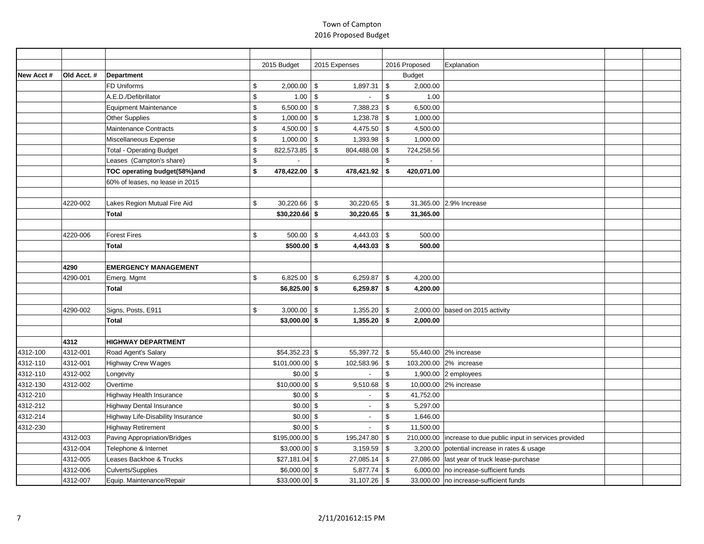|           |             |                                   | 2015 Budget               | 2015 Expenses            | 2016 Proposed              | Explanation                                                    |  |
|-----------|-------------|-----------------------------------|---------------------------|--------------------------|----------------------------|----------------------------------------------------------------|--|
| New Acct# | Old Acct. # | Department                        |                           |                          | <b>Budget</b>              |                                                                |  |
|           |             | FD Uniforms                       | \$<br>2,000.00            | \$<br>1,897.31           | $$\mathbb{S}$$<br>2,000.00 |                                                                |  |
|           |             | A.E.D./Defibrillator              | \$<br>1.00                | $\sqrt{3}$               | $\mathfrak s$<br>1.00      |                                                                |  |
|           |             | <b>Equipment Maintenance</b>      | \$<br>6,500.00            | \$<br>7,388.23           | \$<br>6,500.00             |                                                                |  |
|           |             | <b>Other Supplies</b>             | \$<br>1,000.00            | \$<br>1,238.78           | \$<br>1,000.00             |                                                                |  |
|           |             | Maintenance Contracts             | \$<br>$4,500.00$ \$       | 4,475.50                 | \$<br>4,500.00             |                                                                |  |
|           |             | Miscellaneous Expense             | \$<br>1,000.00            | \$<br>1,393.98           | 1,000.00<br>\$             |                                                                |  |
|           |             | <b>Total - Operating Budget</b>   | \$<br>822,573.85          | \$<br>804,488.08         | 724,258.56<br>\$           |                                                                |  |
|           |             | Leases (Campton's share)          | \$                        |                          | \$                         |                                                                |  |
|           |             | TOC operating budget(58%)and      | \$<br>478,422.00 \$       | 478,421.92               | 420,071.00<br>\$           |                                                                |  |
|           |             | 60% of leases, no lease in 2015   |                           |                          |                            |                                                                |  |
|           |             |                                   |                           |                          |                            |                                                                |  |
|           | 4220-002    | Lakes Region Mutual Fire Aid      | \$<br>$30,220.66$ \ \$    | 30,220.65                | $\sqrt{3}$                 | 31,365.00 2.9% Increase                                        |  |
|           |             | <b>Total</b>                      | $$30,220.66$ \$           | 30,220.65                | \$<br>31,365.00            |                                                                |  |
|           |             |                                   |                           |                          |                            |                                                                |  |
|           | 4220-006    | <b>Forest Fires</b>               | \$<br>$500.00$ \$         | 4,443.03                 | $\sqrt{3}$<br>500.00       |                                                                |  |
|           |             | <b>Total</b>                      | $$500.00$ \$              | 4,443.03                 | $\sqrt{2}$<br>500.00       |                                                                |  |
|           |             |                                   |                           |                          |                            |                                                                |  |
|           | 4290        | <b>EMERGENCY MANAGEMENT</b>       |                           |                          |                            |                                                                |  |
|           | 4290-001    | Emerg. Mgmt                       | \$<br>6,825.00 $\vert$ \$ | 6,259.87                 | \$<br>4,200.00             |                                                                |  |
|           |             | <b>Total</b>                      | $$6,825.00$ \$            | 6,259.87                 | \$<br>4,200.00             |                                                                |  |
|           |             |                                   |                           |                          |                            |                                                                |  |
|           | 4290-002    | Signs, Posts, E911                | \$<br>3,000.00            | l \$<br>1,355.20         | \$                         | 2,000.00 based on 2015 activity                                |  |
|           |             | <b>Total</b>                      | $$3,000.00$ \$            | 1,355.20                 | 2,000.00<br>-\$            |                                                                |  |
|           |             |                                   |                           |                          |                            |                                                                |  |
|           | 4312        | <b>HIGHWAY DEPARTMENT</b>         |                           |                          |                            |                                                                |  |
| 4312-100  | 4312-001    | Road Agent's Salary               | $$54,352.23$ \$           | 55,397.72                | \$                         | 55,440.00 2% increase                                          |  |
| 4312-110  | 4312-001    | <b>Highway Crew Wages</b>         | $$101,000.00$ \$          | 102,583.96               | \$                         | 103,200.00 2% increase                                         |  |
| 4312-110  | 4312-002    | Longevity                         | $$0.00$ \$                |                          | $\mathfrak s$              | 1,900.00 2 employees                                           |  |
| 4312-130  | 4312-002    | Overtime                          | $$10,000.00$ \$           | 9,510.68                 | \$                         | 10,000.00 2% increase                                          |  |
| 4312-210  |             | Highway Health Insurance          | $$0.00$ \$                |                          | \$<br>41,752.00            |                                                                |  |
| 4312-212  |             | <b>Highway Dental Insurance</b>   | $$0.00$ \$                | $\overline{\phantom{a}}$ | 5,297.00<br>\$             |                                                                |  |
| 4312-214  |             | Highway Life-Disability Insurance | $$0.00$ \$                |                          | \$<br>1,646.00             |                                                                |  |
| 4312-230  |             | <b>Highway Retirement</b>         | $$0.00$ \$                |                          | \$<br>11,500.00            |                                                                |  |
|           | 4312-003    | Paving Appropriation/Bridges      | $$195,000.00$ \$          | 195,247.80               | \$                         | 210,000.00   increase to due public input in services provided |  |
|           | 4312-004    | Telephone & Internet              | $$3,000.00$ \$            | 3,159.59                 | \$<br>3,200.00             | potential increase in rates & usage                            |  |
|           | 4312-005    | Leases Backhoe & Trucks           | $$27,181.04$ \$           | 27,085.14                | \$                         | 27,086.00   last year of truck lease-purchase                  |  |
|           | 4312-006    | Culverts/Supplies                 | $$6,000.00$ \$            | 5,877.74                 | <b>S</b>                   | 6,000.00 no increase-sufficient funds                          |  |
|           | 4312-007    | Equip. Maintenance/Repair         | \$33,000.00 \$            | 31,107.26                | \$                         | 33,000.00 no increase-sufficient funds                         |  |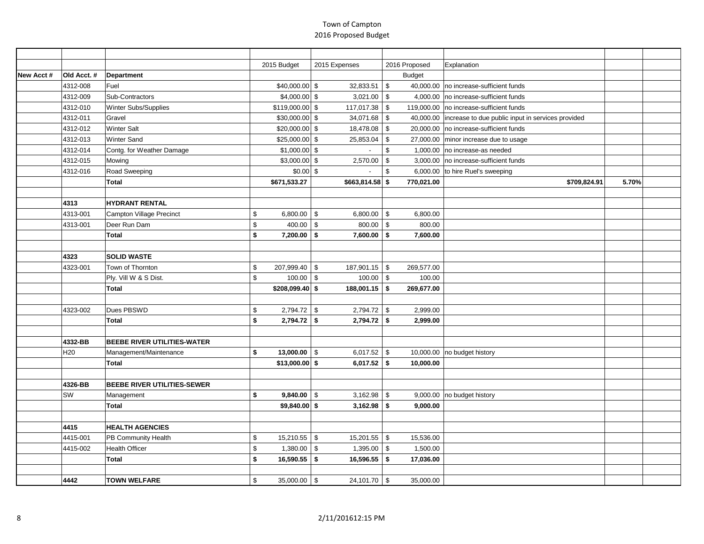|           |                 |                                    | 2015 Budget |                  | 2015 Expenses                  | 2016 Proposed             | Explanation                                                   |       |  |
|-----------|-----------------|------------------------------------|-------------|------------------|--------------------------------|---------------------------|---------------------------------------------------------------|-------|--|
| New Acct# | Old Acct.#      | <b>Department</b>                  |             |                  |                                | <b>Budget</b>             |                                                               |       |  |
|           | 4312-008        | Fuel                               |             | $$40,000.00$ \$  | 32,833.51                      | $\sqrt{3}$                | 40,000.00 no increase-sufficient funds                        |       |  |
|           | 4312-009        | Sub-Contractors                    |             | $$4,000.00$ \$   | $3,021.00$ \$                  | 4,000.00                  | no increase-sufficient funds                                  |       |  |
|           | 4312-010        | Winter Subs/Supplies               |             | $$119,000.00$ \$ | $117,017.38$ \$                | 119,000.00                | no increase-sufficient funds                                  |       |  |
|           | 4312-011        | Gravel                             |             | $$30,000.00$ \$  | 34,071.68 $\frac{1}{3}$        |                           | 40,000.00   increase to due public input in services provided |       |  |
|           | 4312-012        | <b>Winter Salt</b>                 |             | $$20,000.00$ \$  | 18,478.08 \$                   |                           | 20,000.00   no increase-sufficient funds                      |       |  |
|           | 4312-013        | <b>Winter Sand</b>                 |             | $$25,000.00$ \$  | 25,853.04                      | \$                        | 27,000.00 minor increase due to usage                         |       |  |
|           | 4312-014        | Contg. for Weather Damage          |             | $$1,000.00$ \$   |                                | \$<br>1,000.00            | no increase-as needed                                         |       |  |
|           | 4312-015        | Mowing                             |             | $$3,000.00$ \$   | $2,570.00$ \$                  |                           | 3,000.00 no increase-sufficient funds                         |       |  |
|           | 4312-016        | Road Sweeping                      |             | $$0.00$ \$       | $\sim$                         | $\mathfrak s$<br>6,000.00 | to hire Ruel's sweeping                                       |       |  |
|           |                 | Total                              |             | \$671,533.27     | $$663,814.58$ \$               | 770,021.00                | \$709,824.91                                                  | 5.70% |  |
|           |                 |                                    |             |                  |                                |                           |                                                               |       |  |
|           | 4313            | <b>HYDRANT RENTAL</b>              |             |                  |                                |                           |                                                               |       |  |
|           | 4313-001        | Campton Village Precinct           | \$          | $6,800.00$ \$    | 6,800.00 $\vert$ \$            | 6,800.00                  |                                                               |       |  |
|           | 4313-001        | Deer Run Dam                       | \$          | 400.00           | $\mathfrak s$<br>800.00        | $\vert$ \$<br>800.00      |                                                               |       |  |
|           |                 | Total                              | \$          | $7,200.00$ \$    | $7,600.00$ \$                  | 7,600.00                  |                                                               |       |  |
|           |                 |                                    |             |                  |                                |                           |                                                               |       |  |
|           | 4323            | <b>SOLID WASTE</b>                 |             |                  |                                |                           |                                                               |       |  |
|           | 4323-001        | Town of Thornton                   | \$          | 207,999.40 \$    | $187,901.15$ \$                | 269,577.00                |                                                               |       |  |
|           |                 | Ply. Vill W & S Dist.              | \$          | 100.00           | $100.00$ \$<br>- \$            | 100.00                    |                                                               |       |  |
|           |                 | Total                              |             | \$208,099.40\$   | $188,001.15$ \$                | 269,677.00                |                                                               |       |  |
|           |                 |                                    |             |                  |                                |                           |                                                               |       |  |
|           | 4323-002        | Dues PBSWD                         | \$          | $2,794.72$ \$    | $2,794.72$ \$                  | 2,999.00                  |                                                               |       |  |
|           |                 | Total                              | \$          | $2,794.72$ \$    | $2,794.72$ \$                  | 2,999.00                  |                                                               |       |  |
|           |                 |                                    |             |                  |                                |                           |                                                               |       |  |
|           | 4332-BB         | <b>BEEBE RIVER UTILITIES-WATER</b> |             |                  |                                |                           |                                                               |       |  |
|           | H <sub>20</sub> | Management/Maintenance             | \$          | $13,000.00$ \ \$ | 6,017.52 $\vert$ \$            |                           | 10,000.00   no budget history                                 |       |  |
|           |                 | Total                              |             | $$13,000.00$ \$  | $6,017.52$ \$                  | 10,000.00                 |                                                               |       |  |
|           | 4326-BB         | <b>BEEBE RIVER UTILITIES-SEWER</b> |             |                  |                                |                           |                                                               |       |  |
|           | SW              |                                    | \$          | $9,840.00$ \$    | $3,162.98$ \$                  |                           | $9,000.00$ no budget history                                  |       |  |
|           |                 | Management<br>Total                |             | $$9,840.00$ \$   | $3,162.98$ \$                  | 9,000.00                  |                                                               |       |  |
|           |                 |                                    |             |                  |                                |                           |                                                               |       |  |
|           | 4415            | <b>HEALTH AGENCIES</b>             |             |                  |                                |                           |                                                               |       |  |
|           | 4415-001        | PB Community Health                | \$          | $15,210.55$ \$   | $15,201.55$ \$                 | 15,536.00                 |                                                               |       |  |
|           | 4415-002        | Health Officer                     | \$          | 1,380.00         | $\sqrt[6]{3}$<br>$1,395.00$ \$ | 1,500.00                  |                                                               |       |  |
|           |                 | Total                              | \$          | $16,590.55$ \$   | $16,596.55$ \$                 | 17,036.00                 |                                                               |       |  |
|           |                 |                                    |             |                  |                                |                           |                                                               |       |  |
|           | 4442            | <b>TOWN WELFARE</b>                | \$          | 35,000.00 \\$    | $24,101.70$ \$                 | 35,000.00                 |                                                               |       |  |
|           |                 |                                    |             |                  |                                |                           |                                                               |       |  |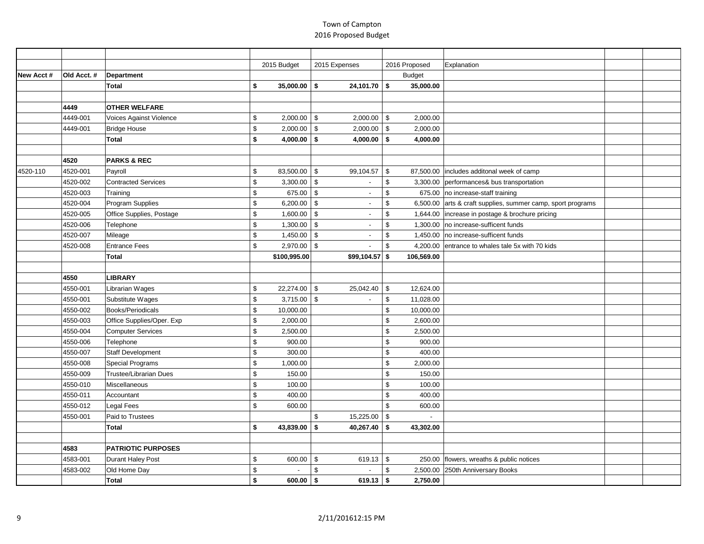|            |            |                                |                         | 2015 Budget    | 2015 Expenses            |                | 2016 Proposed | Explanation                                                 |  |
|------------|------------|--------------------------------|-------------------------|----------------|--------------------------|----------------|---------------|-------------------------------------------------------------|--|
| New Acct # | Old Acct.# | <b>Department</b>              |                         |                |                          |                | <b>Budget</b> |                                                             |  |
|            |            | <b>Total</b>                   | \$                      | $35,000.00$ \$ | $24,101.70$ \$           |                | 35,000.00     |                                                             |  |
|            |            |                                |                         |                |                          |                |               |                                                             |  |
|            | 4449       | <b>OTHER WELFARE</b>           |                         |                |                          |                |               |                                                             |  |
|            | 4449-001   | <b>Voices Against Violence</b> | \$                      | $2,000.00$ \$  | $2,000.00$ \$            |                | 2,000.00      |                                                             |  |
|            | 4449-001   | <b>Bridge House</b>            | $$\mathbb{S}$$          | $2,000.00$ \$  | $2,000.00$ \$            |                | 2,000.00      |                                                             |  |
|            |            | <b>Total</b>                   | \$                      | $4,000.00$ \$  | $4,000.00$ \$            |                | 4,000.00      |                                                             |  |
|            |            |                                |                         |                |                          |                |               |                                                             |  |
|            | 4520       | <b>PARKS &amp; REC</b>         |                         |                |                          |                |               |                                                             |  |
| 4520-110   | 4520-001   | Payroll                        | \$                      | 83,500.00 \$   | 99,104.57                | - \$           |               | 87,500.00  includes additonal week of camp                  |  |
|            | 4520-002   | <b>Contracted Services</b>     | \$                      | $3,300.00$ \$  | $\sim$                   | $\mathfrak s$  |               | 3,300.00 performances& bus transportation                   |  |
|            | 4520-003   | Training                       | $\sqrt[6]{2}$           | 675.00 \$      | $\sim$                   | \$             | 675.00        | no increase-staff training                                  |  |
|            | 4520-004   | Program Supplies               | $\sqrt[6]{2}$           | $6,200.00$ \$  | $\overline{\phantom{a}}$ | \$             |               | 6,500.00 arts & craft supplies, summer camp, sport programs |  |
|            | 4520-005   | Office Supplies, Postage       | \$                      | $1,600.00$ \$  | $\overline{\phantom{a}}$ | \$             | 1,644.00      | increase in postage & brochure pricing                      |  |
|            | 4520-006   | Telephone                      | $\sqrt[6]{2}$           | $1,300.00$ \$  | $\overline{\phantom{a}}$ | \$             | 1,300.00      | no increase-sufficent funds                                 |  |
|            | 4520-007   | Mileage                        | $\sqrt[6]{2}$           | $1,450.00$ \\$ | $\sim$                   | \$             |               | 1,450.00 no increase-sufficent funds                        |  |
|            | 4520-008   | <b>Entrance Fees</b>           | $\sqrt[6]{\frac{1}{2}}$ | $2,970.00$ \$  |                          | \$             | 4,200.00      | entrance to whales tale 5x with 70 kids                     |  |
|            |            | <b>Total</b>                   |                         | \$100,995.00   | $$99,104.57$ \$          |                | 106,569.00    |                                                             |  |
|            |            |                                |                         |                |                          |                |               |                                                             |  |
|            | 4550       | <b>LIBRARY</b>                 |                         |                |                          |                |               |                                                             |  |
|            | 4550-001   | Librarian Wages                | \$                      | 22,274.00 \$   | 25,042.40                | $\sqrt{3}$     | 12,624.00     |                                                             |  |
|            | 4550-001   | Substitute Wages               | $$\mathbb{S}$$          | $3,715.00$ \$  |                          | \$             | 11,028.00     |                                                             |  |
|            | 4550-002   | Books/Periodicals              | $\sqrt[6]{2}$           | 10,000.00      |                          | \$             | 10,000.00     |                                                             |  |
|            | 4550-003   | Office Supplies/Oper. Exp      | $\sqrt[6]{2}$           | 2,000.00       |                          | \$             | 2,600.00      |                                                             |  |
|            | 4550-004   | <b>Computer Services</b>       | $$\mathbb{S}$$          | 2,500.00       |                          | \$             | 2,500.00      |                                                             |  |
|            | 4550-006   | Telephone                      | \$                      | 900.00         |                          | \$             | 900.00        |                                                             |  |
|            | 4550-007   | <b>Staff Development</b>       | $\,$                    | 300.00         |                          | \$             | 400.00        |                                                             |  |
|            | 4550-008   | <b>Special Programs</b>        | \$                      | 1,000.00       |                          | \$             | 2,000.00      |                                                             |  |
|            | 4550-009   | <b>Trustee/Librarian Dues</b>  | \$                      | 150.00         |                          | \$             | 150.00        |                                                             |  |
|            | 4550-010   | Miscellaneous                  | $\$$                    | 100.00         |                          | \$             | 100.00        |                                                             |  |
|            | 4550-011   | Accountant                     | $$\mathbb{S}$$          | 400.00         |                          | $\mathfrak{L}$ | 400.00        |                                                             |  |
|            | 4550-012   | Legal Fees                     | $\sqrt[6]{2}$           | 600.00         |                          | \$             | 600.00        |                                                             |  |
|            | 4550-001   | Paid to Trustees               |                         |                | \$<br>15,225.00          | \$             |               |                                                             |  |
|            |            | <b>Total</b>                   | \$                      | 43,839.00 \$   | 40,267.40                | <b>S</b>       | 43,302.00     |                                                             |  |
|            |            |                                |                         |                |                          |                |               |                                                             |  |
|            | 4583       | <b>PATRIOTIC PURPOSES</b>      |                         |                |                          |                |               |                                                             |  |
|            | 4583-001   | Durant Haley Post              | \$                      | $600.00$ \$    | 619.13 $\frac{1}{3}$     |                |               | 250.00   flowers, wreaths & public notices                  |  |
|            | 4583-002   | Old Home Day                   | \$                      |                | \$                       | \$             | 2,500.00      | 250th Anniversary Books                                     |  |
|            |            | <b>Total</b>                   | \$                      | $600.00$ \$    | $619.13$ \$              |                | 2,750.00      |                                                             |  |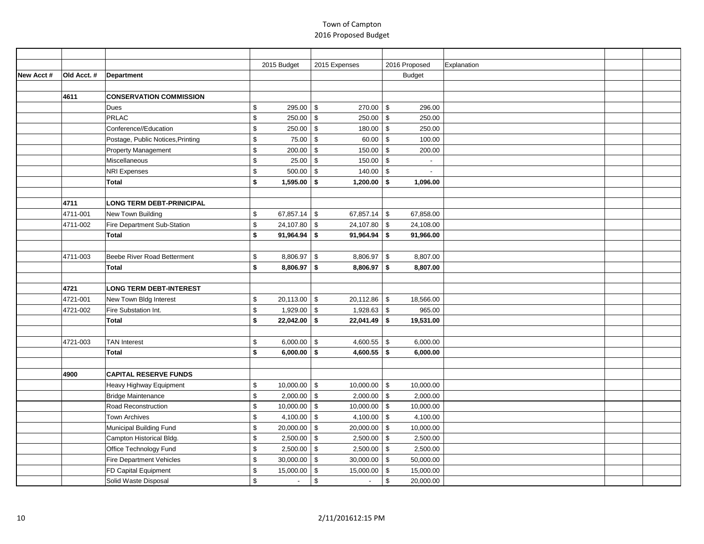|           |            |                                   |               | 2015 Budget    | 2015 Expenses                        | 2016 Proposed           | Explanation |  |
|-----------|------------|-----------------------------------|---------------|----------------|--------------------------------------|-------------------------|-------------|--|
| New Acct# | Old Acct.# | Department                        |               |                |                                      | <b>Budget</b>           |             |  |
|           |            |                                   |               |                |                                      |                         |             |  |
|           | 4611       | <b>CONSERVATION COMMISSION</b>    |               |                |                                      |                         |             |  |
|           |            | <b>Dues</b>                       | \$            | 295.00         | 270.00<br>\$                         | $\sqrt{3}$<br>296.00    |             |  |
|           |            | <b>PRLAC</b>                      | \$            | 250.00         | \$<br>$250.00$ \$                    | 250.00                  |             |  |
|           |            | Conference//Education             | \$            | 250.00         | 180.00<br>\$                         | \$<br>250.00            |             |  |
|           |            | Postage, Public Notices, Printing | \$            | 75.00          | $\mathfrak s$<br>60.00               | $\sqrt{3}$<br>100.00    |             |  |
|           |            | Property Management               | \$            | 200.00         | \$<br>150.00                         | <b>S</b><br>200.00      |             |  |
|           |            | Miscellaneous                     | \$            | 25.00          | \$<br>150.00                         | \$                      |             |  |
|           |            | <b>NRI Expenses</b>               | \$            | 500.00         | \$<br>$140.00$ \ \$                  | $\blacksquare$          |             |  |
|           |            | <b>Total</b>                      | \$            | 1,595.00       | \$<br>$1,200.00$ \$                  | 1,096.00                |             |  |
|           |            |                                   |               |                |                                      |                         |             |  |
|           | 4711       | <b>LONG TERM DEBT-PRINICIPAL</b>  |               |                |                                      |                         |             |  |
|           | 4711-001   | New Town Building                 | \$            | 67,857.14      | \$<br>67,857.14                      | $\sqrt{3}$<br>67,858.00 |             |  |
|           | 4711-002   | Fire Department Sub-Station       | \$            | 24,107.80      | \$<br>24,107.80                      | <b>S</b><br>24,108.00   |             |  |
|           |            | <b>Total</b>                      | \$            | 91,964.94      | -\$<br>91,964.94                     | 91,966.00<br><b>S</b>   |             |  |
|           |            |                                   |               |                |                                      |                         |             |  |
|           | 4711-003   | Beebe River Road Betterment       | $\mathfrak s$ | 8,806.97       | <b>S</b><br>$8,806.97$ \$            | 8,807.00                |             |  |
|           |            | <b>Total</b>                      | \$            | 8,806.97       | \$<br>8,806.97                       | 8,807.00<br><b>S</b>    |             |  |
|           |            |                                   |               |                |                                      |                         |             |  |
|           | 4721       | <b>LONG TERM DEBT-INTEREST</b>    |               |                |                                      |                         |             |  |
|           | 4721-001   | New Town Bldg Interest            | \$            | 20,113.00      | \$<br>20,112.86                      | 18,566.00<br><b>S</b>   |             |  |
|           | 4721-002   | Fire Substation Int.              | \$            | 1,929.00       | \$<br>$1,928.63$ \$                  | 965.00                  |             |  |
|           |            | <b>Total</b>                      | \$            | $22,042.00$ \$ | $22,041.49$ \$                       | 19,531.00               |             |  |
|           |            |                                   |               |                |                                      |                         |             |  |
|           | 4721-003   | <b>TAN Interest</b>               | \$            | 6,000.00       | 4,600.55 $\frac{1}{3}$<br>$\sqrt{3}$ | 6,000.00                |             |  |
|           |            | <b>Total</b>                      | \$            | 6,000.00       | \$<br>$4,600.55$ \$                  | 6,000.00                |             |  |
|           |            |                                   |               |                |                                      |                         |             |  |
|           | 4900       | <b>CAPITAL RESERVE FUNDS</b>      |               |                |                                      |                         |             |  |
|           |            | Heavy Highway Equipment           | \$            | 10,000.00      | <b>S</b><br>$10,000.00$ \$           | 10,000.00               |             |  |
|           |            | Bridge Maintenance                | \$            | 2,000.00       | \$<br>2,000.00                       | $\sqrt{3}$<br>2,000.00  |             |  |
|           |            | Road Reconstruction               | \$            | $10,000.00$ \$ | $10,000.00$ \$                       | 10,000.00               |             |  |
|           |            | <b>Town Archives</b>              | \$            | 4,100.00       | 4,100.00<br>\$                       | $\sqrt{3}$<br>4,100.00  |             |  |
|           |            | Municipal Building Fund           | \$            | 20,000.00      | $\mathfrak s$<br>20,000.00           | $\sqrt{3}$<br>10,000.00 |             |  |
|           |            | Campton Historical Bldg.          | \$            | 2,500.00       | $2,500.00$ \$<br>\$                  | 2,500.00                |             |  |
|           |            | Office Technology Fund            | \$            | 2,500.00       | 2,500.00<br>\$                       | \$<br>2,500.00          |             |  |
|           |            | <b>Fire Department Vehicles</b>   | \$            | 30,000.00      | \$<br>$30,000.00$ \$                 | 50,000.00               |             |  |
|           |            | FD Capital Equipment              | \$            | 15,000.00      | \$<br>15,000.00                      | $\sqrt{3}$<br>15,000.00 |             |  |
|           |            | Solid Waste Disposal              | \$            |                | $\,$<br>$\sim$                       | $\,$<br>20,000.00       |             |  |